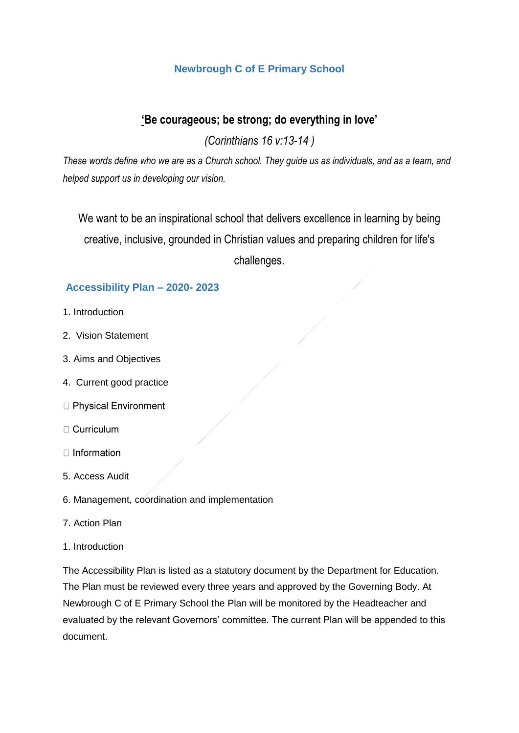## **Newbrough C of E Primary School**

# **'Be courageous; be strong; do everything in love'**

*(Corinthians 16 v:13-14 )*

These words define who we are as a Church school. They guide us as individuals, and as a team, and *helped support us in developing our vision.*

We want to be an inspirational school that delivers excellence in learning by being creative, inclusive, grounded in Christian values and preparing children for life's challenges.

## **Accessibility Plan – 2020- 2023**

- 1. Introduction
- 2. Vision Statement
- 3. Aims and Objectives
- 4. Current good practice
- □ Physical Environment
- $\Box$  Curriculum
- $\Box$  Information
- 5. Access Audit
- 6. Management, coordination and implementation
- 7. Action Plan
- 1. Introduction

The Accessibility Plan is listed as a statutory document by the Department for Education. The Plan must be reviewed every three years and approved by the Governing Body. At Newbrough C of E Primary School the Plan will be monitored by the Headteacher and evaluated by the relevant Governors' committee. The current Plan will be appended to this document.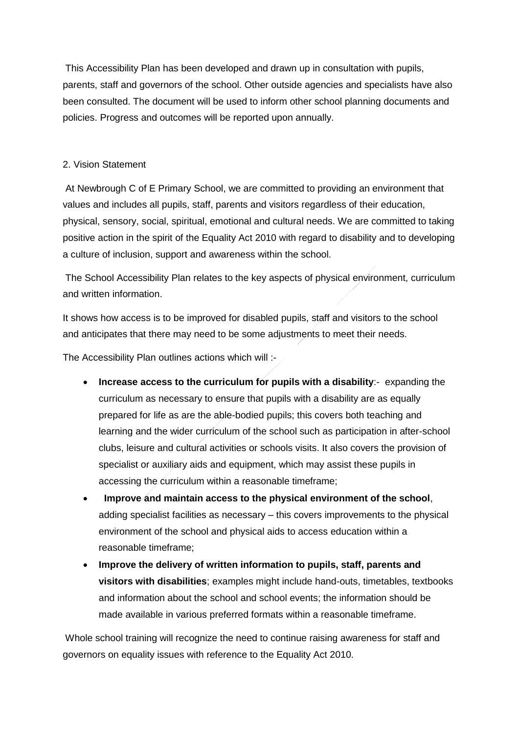This Accessibility Plan has been developed and drawn up in consultation with pupils, parents, staff and governors of the school. Other outside agencies and specialists have also been consulted. The document will be used to inform other school planning documents and policies. Progress and outcomes will be reported upon annually.

#### 2. Vision Statement

At Newbrough C of E Primary School, we are committed to providing an environment that values and includes all pupils, staff, parents and visitors regardless of their education, physical, sensory, social, spiritual, emotional and cultural needs. We are committed to taking positive action in the spirit of the Equality Act 2010 with regard to disability and to developing a culture of inclusion, support and awareness within the school.

The School Accessibility Plan relates to the key aspects of physical environment, curriculum and written information.

It shows how access is to be improved for disabled pupils, staff and visitors to the school and anticipates that there may need to be some adjustments to meet their needs.

The Accessibility Plan outlines actions which will :-

- **Increase access to the curriculum for pupils with a disability**:- expanding the curriculum as necessary to ensure that pupils with a disability are as equally prepared for life as are the able-bodied pupils; this covers both teaching and learning and the wider curriculum of the school such as participation in after-school clubs, leisure and cultural activities or schools visits. It also covers the provision of specialist or auxiliary aids and equipment, which may assist these pupils in accessing the curriculum within a reasonable timeframe;
- **Improve and maintain access to the physical environment of the school**, adding specialist facilities as necessary – this covers improvements to the physical environment of the school and physical aids to access education within a reasonable timeframe;
- **Improve the delivery of written information to pupils, staff, parents and visitors with disabilities**; examples might include hand-outs, timetables, textbooks and information about the school and school events; the information should be made available in various preferred formats within a reasonable timeframe.

Whole school training will recognize the need to continue raising awareness for staff and governors on equality issues with reference to the Equality Act 2010.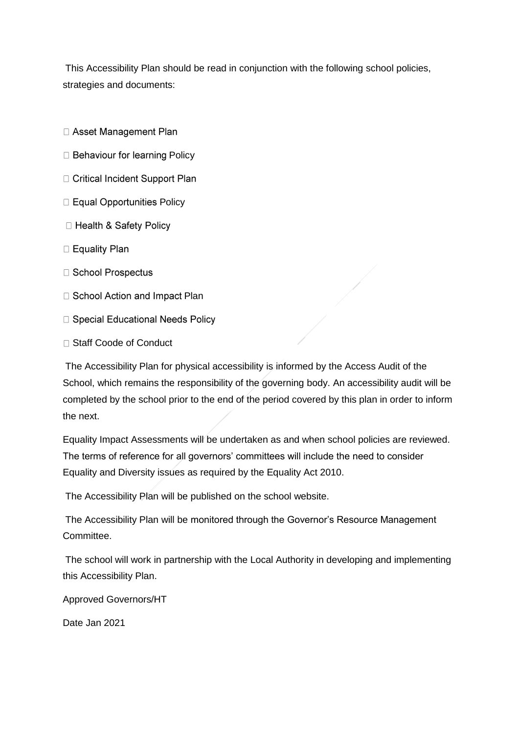This Accessibility Plan should be read in conjunction with the following school policies, strategies and documents:

- □ Asset Management Plan
- **D** Behaviour for learning Policy
- □ Critical Incident Support Plan
- $\Box$  Equal Opportunities Policy
- □ Health & Safety Policy
- □ Equality Plan
- □ School Prospectus
- □ School Action and Impact Plan
- □ Special Educational Needs Policy
- □ Staff Coode of Conduct

The Accessibility Plan for physical accessibility is informed by the Access Audit of the School, which remains the responsibility of the governing body. An accessibility audit will be completed by the school prior to the end of the period covered by this plan in order to inform the next.

Equality Impact Assessments will be undertaken as and when school policies are reviewed. The terms of reference for all governors' committees will include the need to consider Equality and Diversity issues as required by the Equality Act 2010.

The Accessibility Plan will be published on the school website.

The Accessibility Plan will be monitored through the Governor's Resource Management Committee.

The school will work in partnership with the Local Authority in developing and implementing this Accessibility Plan.

Approved Governors/HT

Date Jan 2021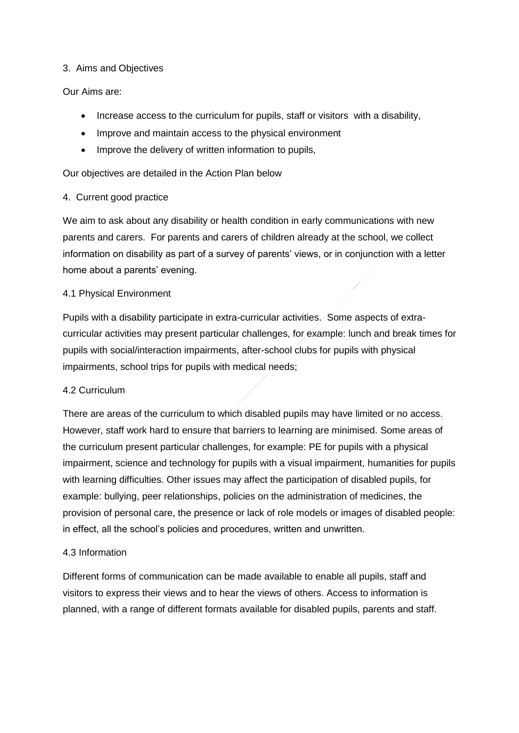#### 3. Aims and Objectives

#### Our Aims are:

- Increase access to the curriculum for pupils, staff or visitors with a disability,
- Improve and maintain access to the physical environment
- Improve the delivery of written information to pupils,

Our objectives are detailed in the Action Plan below

#### 4. Current good practice

We aim to ask about any disability or health condition in early communications with new parents and carers. For parents and carers of children already at the school, we collect information on disability as part of a survey of parents' views, or in conjunction with a letter home about a parents' evening.

#### 4.1 Physical Environment

Pupils with a disability participate in extra-curricular activities. Some aspects of extracurricular activities may present particular challenges, for example: lunch and break times for pupils with social/interaction impairments, after-school clubs for pupils with physical impairments, school trips for pupils with medical needs;

#### 4.2 Curriculum

There are areas of the curriculum to which disabled pupils may have limited or no access. However, staff work hard to ensure that barriers to learning are minimised. Some areas of the curriculum present particular challenges, for example: PE for pupils with a physical impairment, science and technology for pupils with a visual impairment, humanities for pupils with learning difficulties. Other issues may affect the participation of disabled pupils, for example: bullying, peer relationships, policies on the administration of medicines, the provision of personal care, the presence or lack of role models or images of disabled people: in effect, all the school's policies and procedures, written and unwritten.

#### 4.3 Information

Different forms of communication can be made available to enable all pupils, staff and visitors to express their views and to hear the views of others. Access to information is planned, with a range of different formats available for disabled pupils, parents and staff.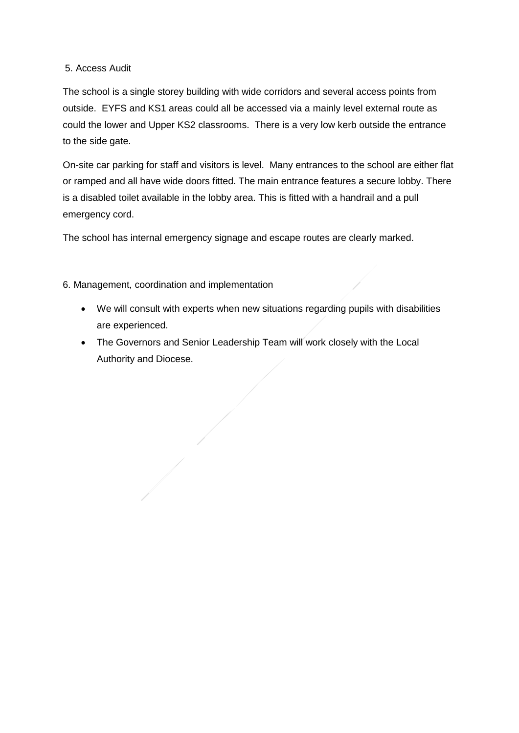#### 5. Access Audit

The school is a single storey building with wide corridors and several access points from outside. EYFS and KS1 areas could all be accessed via a mainly level external route as could the lower and Upper KS2 classrooms. There is a very low kerb outside the entrance to the side gate.

On-site car parking for staff and visitors is level. Many entrances to the school are either flat or ramped and all have wide doors fitted. The main entrance features a secure lobby. There is a disabled toilet available in the lobby area. This is fitted with a handrail and a pull emergency cord.

The school has internal emergency signage and escape routes are clearly marked.

6. Management, coordination and implementation

- We will consult with experts when new situations regarding pupils with disabilities are experienced.
- The Governors and Senior Leadership Team will work closely with the Local Authority and Diocese.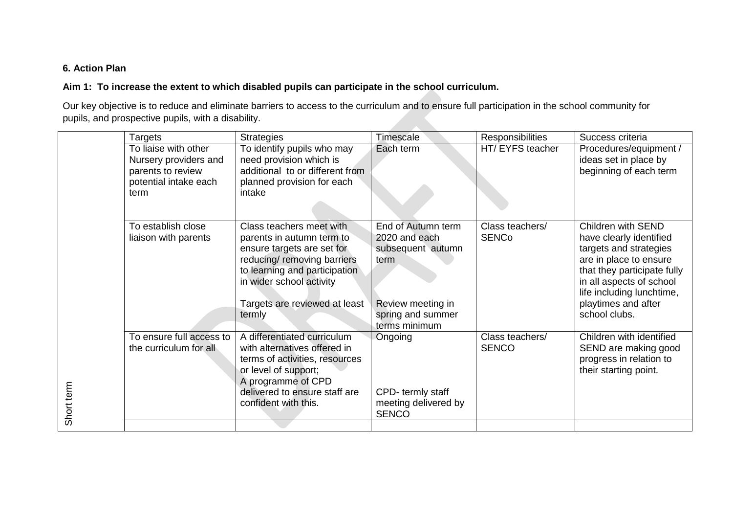## **6. Action Plan**

#### **Aim 1: To increase the extent to which disabled pupils can participate in the school curriculum.**

Our key objective is to reduce and eliminate barriers to access to the curriculum and to ensure full participation in the school community for pupils, and prospective pupils, with a disability.

|            | <b>Targets</b>                                                                                      | <b>Strategies</b>                                                                                                                                                                                                          | Timescale                                                                                                                   | <b>Responsibilities</b>         | Success criteria                                                                                                                                                                                                                  |
|------------|-----------------------------------------------------------------------------------------------------|----------------------------------------------------------------------------------------------------------------------------------------------------------------------------------------------------------------------------|-----------------------------------------------------------------------------------------------------------------------------|---------------------------------|-----------------------------------------------------------------------------------------------------------------------------------------------------------------------------------------------------------------------------------|
|            | To liaise with other<br>Nursery providers and<br>parents to review<br>potential intake each<br>term | To identify pupils who may<br>need provision which is<br>additional to or different from<br>planned provision for each<br>intake                                                                                           | Each term                                                                                                                   | HT/ EYFS teacher                | Procedures/equipment /<br>ideas set in place by<br>beginning of each term                                                                                                                                                         |
|            | To establish close<br>liaison with parents                                                          | Class teachers meet with<br>parents in autumn term to<br>ensure targets are set for<br>reducing/ removing barriers<br>to learning and participation<br>in wider school activity<br>Targets are reviewed at least<br>termly | End of Autumn term<br>2020 and each<br>subsequent autumn<br>term<br>Review meeting in<br>spring and summer<br>terms minimum | Class teachers/<br><b>SENCo</b> | Children with SEND<br>have clearly identified<br>targets and strategies<br>are in place to ensure<br>that they participate fully<br>in all aspects of school<br>life including lunchtime,<br>playtimes and after<br>school clubs. |
| Short term | To ensure full access to<br>the curriculum for all                                                  | A differentiated curriculum<br>with alternatives offered in<br>terms of activities, resources<br>or level of support;<br>A programme of CPD<br>delivered to ensure staff are<br>confident with this.                       | Ongoing<br>CPD-termly staff<br>meeting delivered by<br><b>SENCO</b>                                                         | Class teachers/<br><b>SENCO</b> | Children with identified<br>SEND are making good<br>progress in relation to<br>their starting point.                                                                                                                              |
|            |                                                                                                     |                                                                                                                                                                                                                            |                                                                                                                             |                                 |                                                                                                                                                                                                                                   |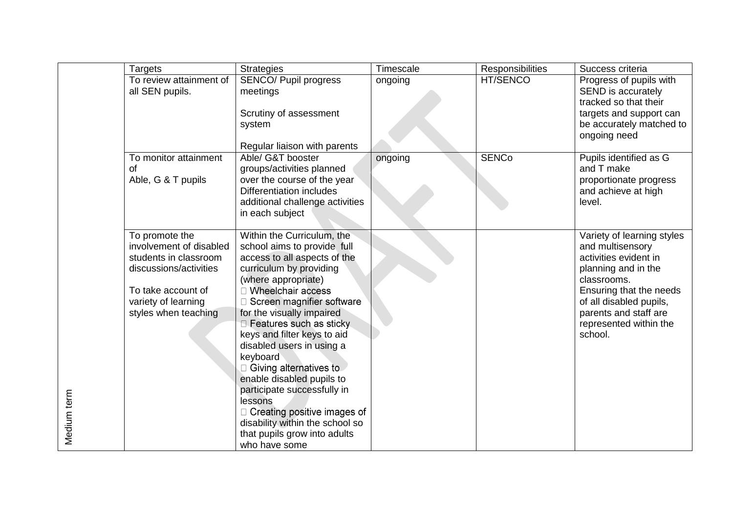|             | <b>Targets</b>                                                                                                                                                    | <b>Strategies</b>                                                                                                                                                                                                                                                                                                                                                                                                                                                                                                                                                   | Timescale | Responsibilities | Success criteria                                                                                                                                                                                                                  |
|-------------|-------------------------------------------------------------------------------------------------------------------------------------------------------------------|---------------------------------------------------------------------------------------------------------------------------------------------------------------------------------------------------------------------------------------------------------------------------------------------------------------------------------------------------------------------------------------------------------------------------------------------------------------------------------------------------------------------------------------------------------------------|-----------|------------------|-----------------------------------------------------------------------------------------------------------------------------------------------------------------------------------------------------------------------------------|
|             | To review attainment of<br>all SEN pupils.                                                                                                                        | <b>SENCO/ Pupil progress</b><br>meetings<br>Scrutiny of assessment<br>system<br>Regular liaison with parents                                                                                                                                                                                                                                                                                                                                                                                                                                                        | ongoing   | HT/SENCO         | Progress of pupils with<br>SEND is accurately<br>tracked so that their<br>targets and support can<br>be accurately matched to<br>ongoing need                                                                                     |
|             | To monitor attainment<br>of<br>Able, G & T pupils                                                                                                                 | Able/ G&T booster<br>groups/activities planned<br>over the course of the year<br><b>Differentiation includes</b><br>additional challenge activities<br>in each subject                                                                                                                                                                                                                                                                                                                                                                                              | ongoing   | <b>SENCo</b>     | Pupils identified as G<br>and T make<br>proportionate progress<br>and achieve at high<br>level.                                                                                                                                   |
| Medium term | To promote the<br>involvement of disabled<br>students in classroom<br>discussions/activities<br>To take account of<br>variety of learning<br>styles when teaching | Within the Curriculum, the<br>school aims to provide full<br>access to all aspects of the<br>curriculum by providing<br>(where appropriate)<br><b>Wheelchair access</b><br>Screen magnifier software<br>for the visually impaired<br>□ Features such as sticky<br>keys and filter keys to aid<br>disabled users in using a<br>keyboard<br>□ Giving alternatives to<br>enable disabled pupils to<br>participate successfully in<br>lessons<br>$\Box$ Creating positive images of<br>disability within the school so<br>that pupils grow into adults<br>who have some |           |                  | Variety of learning styles<br>and multisensory<br>activities evident in<br>planning and in the<br>classrooms.<br>Ensuring that the needs<br>of all disabled pupils,<br>parents and staff are<br>represented within the<br>school. |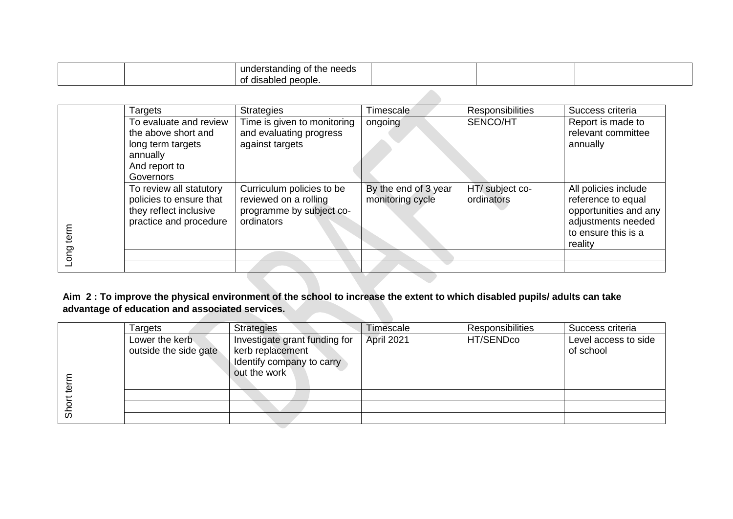|  | <br>understanding<br>needs<br>) of the |  |  |
|--|----------------------------------------|--|--|
|  | .<br>bled people.<br>ui disar<br>Οt    |  |  |

|      | Targets                                            | <b>Strategies</b>                                  | Timescale                                | <b>Responsibilities</b>       | Success criteria                           |
|------|----------------------------------------------------|----------------------------------------------------|------------------------------------------|-------------------------------|--------------------------------------------|
|      | To evaluate and review                             | Time is given to monitoring                        | ongoing                                  | SENCO/HT                      | Report is made to                          |
|      | the above short and                                | and evaluating progress                            |                                          |                               | relevant committee                         |
|      | long term targets                                  | against targets                                    |                                          |                               | annually                                   |
|      | annually                                           |                                                    |                                          |                               |                                            |
|      | And report to                                      |                                                    |                                          |                               |                                            |
|      | Governors                                          |                                                    |                                          |                               |                                            |
|      | To review all statutory<br>policies to ensure that | Curriculum policies to be<br>reviewed on a rolling | By the end of 3 year<br>monitoring cycle | HT/ subject co-<br>ordinators | All policies include<br>reference to equal |
|      | they reflect inclusive                             | programme by subject co-<br>ordinators             |                                          |                               | opportunities and any                      |
| term | practice and procedure                             |                                                    |                                          |                               | adjustments needed<br>to ensure this is a  |
|      |                                                    |                                                    |                                          |                               | reality                                    |
| ဥ    |                                                    |                                                    |                                          |                               |                                            |
|      |                                                    |                                                    |                                          |                               |                                            |

**Aim 2 : To improve the physical environment of the school to increase the extent to which disabled pupils/ adults can take advantage of education and associated services.** 

|                     | Targets                                 | <b>Strategies</b>                                                                              | Timescale  | <b>Responsibilities</b> | Success criteria                  |
|---------------------|-----------------------------------------|------------------------------------------------------------------------------------------------|------------|-------------------------|-----------------------------------|
| 亟                   | Lower the kerb<br>outside the side gate | Investigate grant funding for<br>kerb replacement<br>Identify company to carry<br>out the work | April 2021 | HT/SENDco               | Level access to side<br>of school |
|                     |                                         |                                                                                                |            |                         |                                   |
|                     |                                         |                                                                                                |            |                         |                                   |
| $\overline{\omega}$ |                                         |                                                                                                |            |                         |                                   |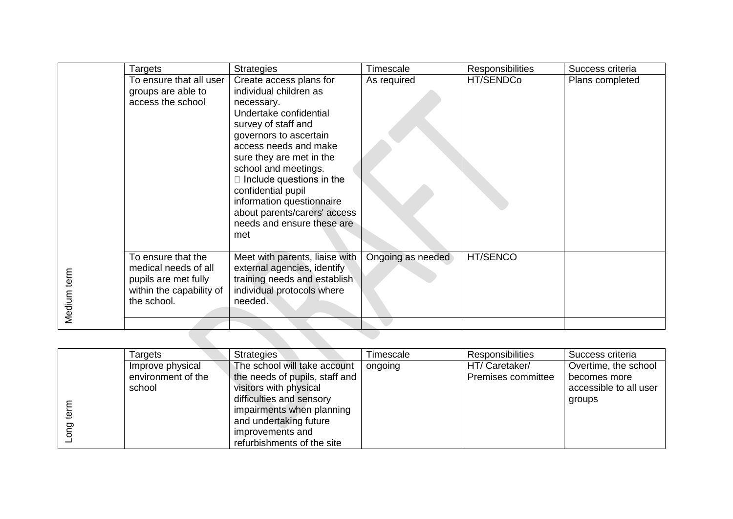|             | Targets                                                                                                       | <b>Strategies</b>                                                                                                                                                                                                                                                                                                                                                                  | Timescale         | <b>Responsibilities</b> | Success criteria |
|-------------|---------------------------------------------------------------------------------------------------------------|------------------------------------------------------------------------------------------------------------------------------------------------------------------------------------------------------------------------------------------------------------------------------------------------------------------------------------------------------------------------------------|-------------------|-------------------------|------------------|
|             | To ensure that all user<br>groups are able to<br>access the school                                            | Create access plans for<br>individual children as<br>necessary.<br>Undertake confidential<br>survey of staff and<br>governors to ascertain<br>access needs and make<br>sure they are met in the<br>school and meetings.<br>$\Box$ Include questions in the<br>confidential pupil<br>information questionnaire<br>about parents/carers' access<br>needs and ensure these are<br>met | As required       | HT/SENDCo               | Plans completed  |
| Medium term | To ensure that the<br>medical needs of all<br>pupils are met fully<br>within the capability of<br>the school. | Meet with parents, liaise with<br>external agencies, identify<br>training needs and establish<br>individual protocols where<br>needed.                                                                                                                                                                                                                                             | Ongoing as needed | HT/SENCO                |                  |

|  | Targets            | <b>Strategies</b>              | <b>Timescale</b> | <b>Responsibilities</b> | Success criteria       |
|--|--------------------|--------------------------------|------------------|-------------------------|------------------------|
|  | Improve physical   | The school will take account   | ongoing          | HT/ Caretaker/          | Overtime, the school   |
|  | environment of the | the needs of pupils, staff and |                  | Premises committee      | becomes more           |
|  | school             | visitors with physical         |                  |                         | accessible to all user |
|  |                    | difficulties and sensory       |                  |                         | groups                 |
|  |                    | impairments when planning      |                  |                         |                        |
|  |                    | and undertaking future         |                  |                         |                        |
|  |                    | improvements and               |                  |                         |                        |
|  |                    | refurbishments of the site     |                  |                         |                        |